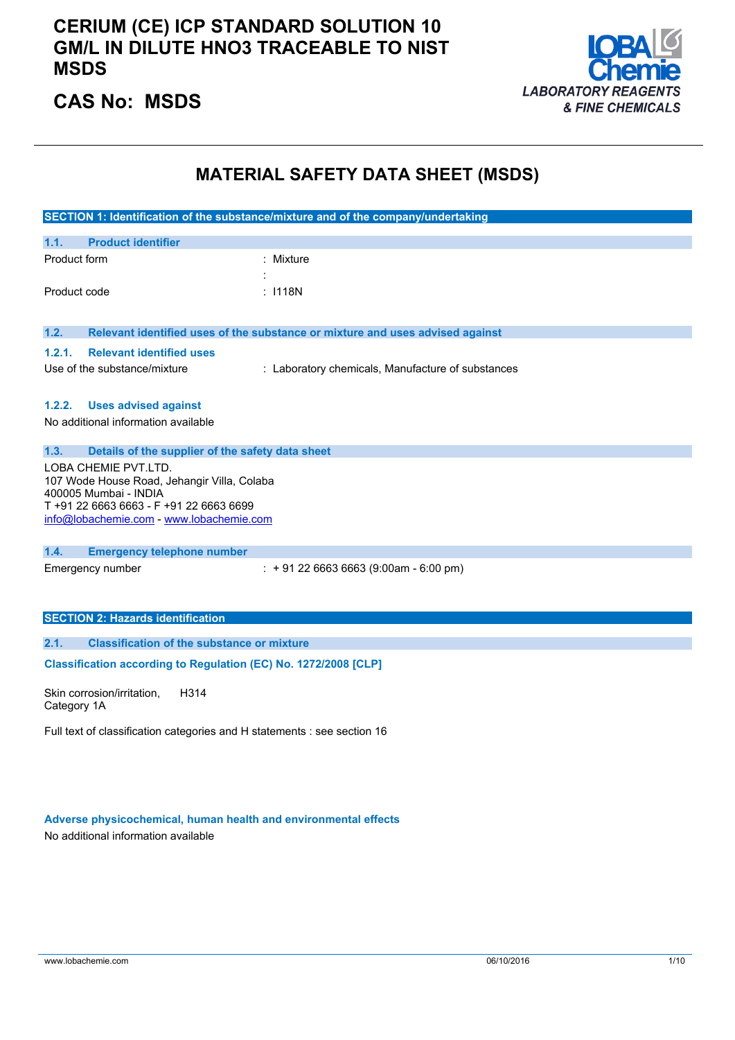### **CERIUM (CE) ICP STANDARD SOLUTION 10 GM/L IN DILUTE HNO3 TRACEABLE TO NIST MSDS**



### **CAS No: MSDS**

### **MATERIAL SAFETY DATA SHEET (MSDS)**

|                                                                          | SECTION 1: Identification of the substance/mixture and of the company/undertaking |
|--------------------------------------------------------------------------|-----------------------------------------------------------------------------------|
| <b>Product identifier</b><br>1.1.                                        |                                                                                   |
| Product form                                                             | Mixture                                                                           |
|                                                                          |                                                                                   |
| Product code                                                             | : 1118N                                                                           |
|                                                                          |                                                                                   |
| 1.2.                                                                     | Relevant identified uses of the substance or mixture and uses advised against     |
| <b>Relevant identified uses</b><br>1.2.1.                                |                                                                                   |
| Use of the substance/mixture                                             | : Laboratory chemicals, Manufacture of substances                                 |
|                                                                          |                                                                                   |
| 1.2.2.<br><b>Uses advised against</b>                                    |                                                                                   |
| No additional information available                                      |                                                                                   |
| 1.3.                                                                     |                                                                                   |
| Details of the supplier of the safety data sheet<br>LOBA CHEMIE PVT.LTD. |                                                                                   |
| 107 Wode House Road, Jehangir Villa, Colaba                              |                                                                                   |
| 400005 Mumbai - INDIA                                                    |                                                                                   |
| T+91 22 6663 6663 - F+91 22 6663 6699                                    |                                                                                   |
| info@lobachemie.com - www.lobachemie.com                                 |                                                                                   |
| 1.4.<br><b>Emergency telephone number</b>                                |                                                                                   |
| Emergency number                                                         | $: +912266636663(9:00am - 6:00 pm)$                                               |
|                                                                          |                                                                                   |
|                                                                          |                                                                                   |
| <b>SECTION 2: Hazards identification</b>                                 |                                                                                   |
| <b>Classification of the substance or mixture</b><br>2.1.                |                                                                                   |
| Classification according to Regulation (EC) No. 1272/2008 [CLP]          |                                                                                   |
|                                                                          |                                                                                   |

Skin corrosion/irritation, Category 1A H314

Full text of classification categories and H statements : see section 16

**Adverse physicochemical, human health and environmental effects**

No additional information available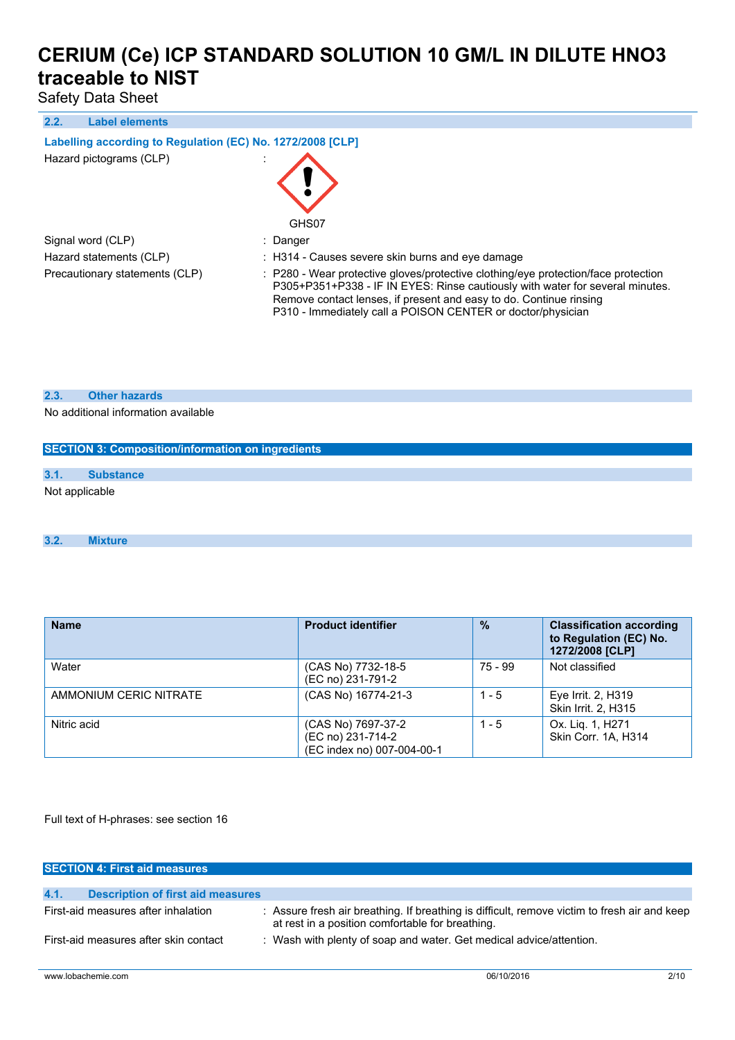Safety Data Sheet

#### **2.2. Label elements**

#### **Labelling according to** Regulation (EC) No. 1272/2008 [CLP]

| Hazard pictograms (CLP) |  |
|-------------------------|--|
|                         |  |



Signal word (CLP) : Danger

Hazard statements (CLP) : H314 - Causes severe skin burns and eye damage

Precautionary statements (CLP) : P280 - Wear protective gloves/protective clothing/eye protection/face protection P305+P351+P338 - IF IN EYES: Rinse cautiously with water for several minutes. Remove contact lenses, if present and easy to do. Continue rinsing P310 - Immediately call a POISON CENTER or doctor/physician

#### **2.3. Other hazards**

No additional information available

# **SECTION 3: Composition/information on ingredients 3.1. Substance** Not applicable

#### **3.2. Mixture**

| <b>Name</b>            | <b>Product identifier</b>                                             | $\frac{9}{6}$ | <b>Classification according</b><br>to Regulation (EC) No.<br>1272/2008 [CLP] |
|------------------------|-----------------------------------------------------------------------|---------------|------------------------------------------------------------------------------|
| Water                  | (CAS No) 7732-18-5<br>(EC no) 231-791-2                               | 75 - 99       | Not classified                                                               |
| AMMONIUM CERIC NITRATE | (CAS No) 16774-21-3                                                   | $1 - 5$       | Eye Irrit. 2, H319<br>Skin Irrit. 2, H315                                    |
| Nitric acid            | (CAS No) 7697-37-2<br>(EC no) 231-714-2<br>(EC index no) 007-004-00-1 | $1 - 5$       | Ox. Lig. 1, H271<br>Skin Corr. 1A. H314                                      |

Full text of H-phrases: see section 16

| <b>SECTION 4: First aid measures</b>             |                                                                                                                                                  |
|--------------------------------------------------|--------------------------------------------------------------------------------------------------------------------------------------------------|
|                                                  |                                                                                                                                                  |
| 4.1.<br><b>Description of first aid measures</b> |                                                                                                                                                  |
| First-aid measures after inhalation              | : Assure fresh air breathing. If breathing is difficult, remove victim to fresh air and keep<br>at rest in a position comfortable for breathing. |
| First-aid measures after skin contact            | : Wash with plenty of soap and water. Get medical advice/attention.                                                                              |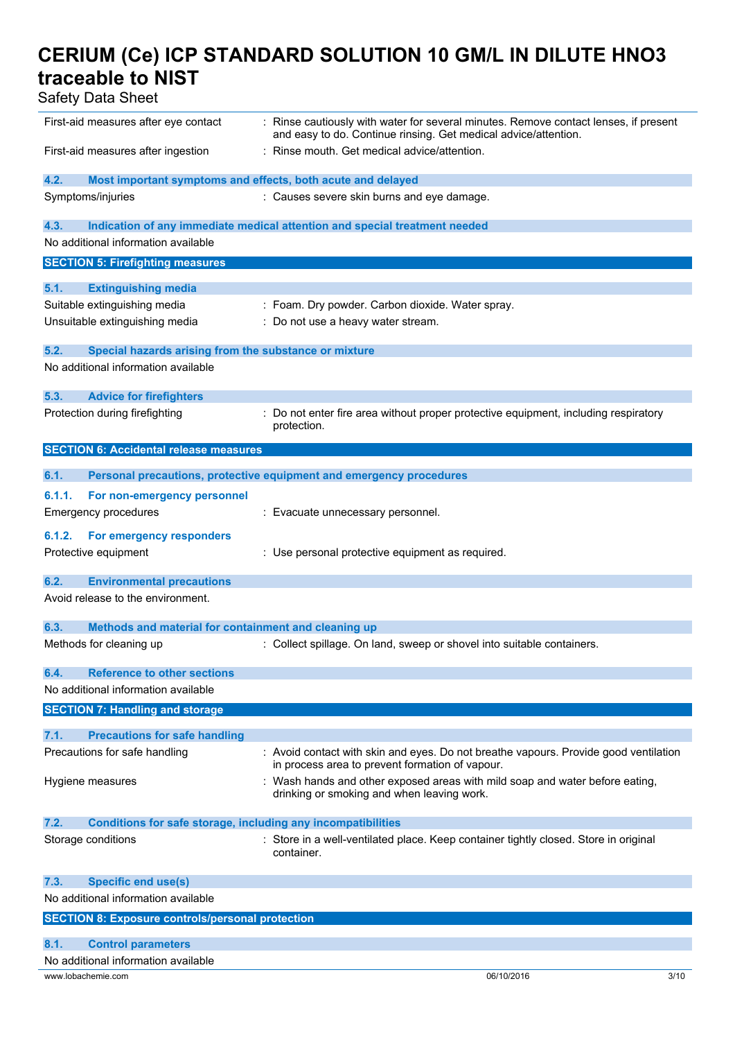Safety Data Sheet

| First-aid measures after eye contact                                        | : Rinse cautiously with water for several minutes. Remove contact lenses, if present<br>and easy to do. Continue rinsing. Get medical advice/attention. |
|-----------------------------------------------------------------------------|---------------------------------------------------------------------------------------------------------------------------------------------------------|
| First-aid measures after ingestion                                          | : Rinse mouth. Get medical advice/attention.                                                                                                            |
| 4.2.<br>Most important symptoms and effects, both acute and delayed         |                                                                                                                                                         |
| Symptoms/injuries                                                           | : Causes severe skin burns and eye damage.                                                                                                              |
| 4.3.                                                                        | Indication of any immediate medical attention and special treatment needed                                                                              |
| No additional information available                                         |                                                                                                                                                         |
| <b>SECTION 5: Firefighting measures</b>                                     |                                                                                                                                                         |
| 5.1.<br><b>Extinguishing media</b>                                          |                                                                                                                                                         |
| Suitable extinguishing media                                                | : Foam. Dry powder. Carbon dioxide. Water spray.                                                                                                        |
| Unsuitable extinguishing media                                              | : Do not use a heavy water stream.                                                                                                                      |
| 5.2.<br>Special hazards arising from the substance or mixture               |                                                                                                                                                         |
| No additional information available                                         |                                                                                                                                                         |
| 5.3.<br><b>Advice for firefighters</b>                                      |                                                                                                                                                         |
| Protection during firefighting                                              | Do not enter fire area without proper protective equipment, including respiratory<br>protection.                                                        |
| <b>SECTION 6: Accidental release measures</b>                               |                                                                                                                                                         |
| 6.1.                                                                        | Personal precautions, protective equipment and emergency procedures                                                                                     |
| 6.1.1.<br>For non-emergency personnel                                       |                                                                                                                                                         |
| <b>Emergency procedures</b>                                                 | : Evacuate unnecessary personnel.                                                                                                                       |
|                                                                             |                                                                                                                                                         |
| 6.1.2.<br>For emergency responders                                          |                                                                                                                                                         |
| Protective equipment                                                        | : Use personal protective equipment as required.                                                                                                        |
| 6.2.<br><b>Environmental precautions</b>                                    |                                                                                                                                                         |
| Avoid release to the environment.                                           |                                                                                                                                                         |
| 6.3.<br>Methods and material for containment and cleaning up                |                                                                                                                                                         |
| Methods for cleaning up                                                     | : Collect spillage. On land, sweep or shovel into suitable containers.                                                                                  |
| <b>Reference to other sections</b><br>6.4.                                  |                                                                                                                                                         |
| No additional information available                                         |                                                                                                                                                         |
| <b>SECTION 7: Handling and storage</b>                                      |                                                                                                                                                         |
| 7.1.<br><b>Precautions for safe handling</b>                                |                                                                                                                                                         |
| Precautions for safe handling                                               | : Avoid contact with skin and eyes. Do not breathe vapours. Provide good ventilation<br>in process area to prevent formation of vapour.                 |
| Hygiene measures                                                            | : Wash hands and other exposed areas with mild soap and water before eating,<br>drinking or smoking and when leaving work.                              |
| 7.2.<br><b>Conditions for safe storage, including any incompatibilities</b> |                                                                                                                                                         |
| Storage conditions                                                          | : Store in a well-ventilated place. Keep container tightly closed. Store in original<br>container.                                                      |
| 7.3.<br><b>Specific end use(s)</b>                                          |                                                                                                                                                         |
| No additional information available                                         |                                                                                                                                                         |
| <b>SECTION 8: Exposure controls/personal protection</b>                     |                                                                                                                                                         |
| 8.1.<br><b>Control parameters</b>                                           |                                                                                                                                                         |
| No additional information available                                         |                                                                                                                                                         |
|                                                                             |                                                                                                                                                         |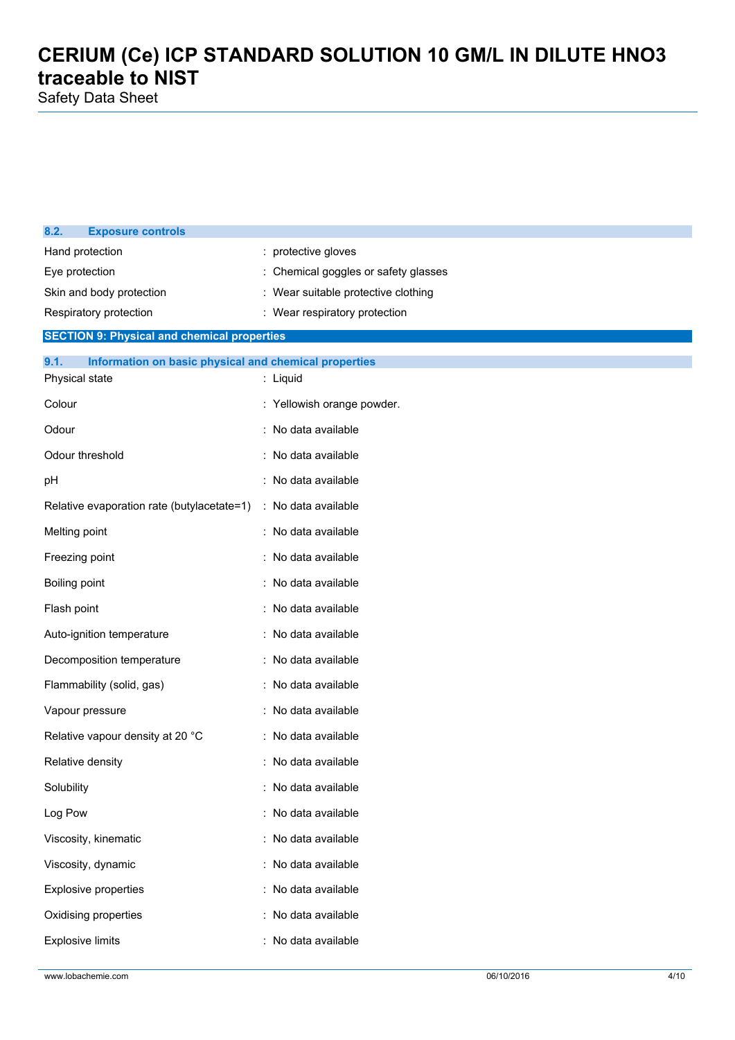Safety Data Sheet

| 8.2.                     | <b>Exposure controls</b>                              |                                    |  |  |  |
|--------------------------|-------------------------------------------------------|------------------------------------|--|--|--|
| Hand protection          |                                                       | protective gloves                  |  |  |  |
| Eye protection           |                                                       | Chemical goggles or safety glasses |  |  |  |
| Skin and body protection |                                                       | Wear suitable protective clothing  |  |  |  |
|                          | Respiratory protection                                | : Wear respiratory protection      |  |  |  |
|                          | <b>SECTION 9: Physical and chemical properties</b>    |                                    |  |  |  |
| 9.1.                     | Information on basic physical and chemical properties |                                    |  |  |  |
| Physical state           |                                                       | : Liquid                           |  |  |  |
| Colour                   |                                                       | : Yellowish orange powder.         |  |  |  |
| Odour                    |                                                       | : No data available                |  |  |  |
| Odour threshold          |                                                       | : No data available                |  |  |  |
| pН                       |                                                       | : No data available                |  |  |  |
|                          | Relative evaporation rate (butylacetate=1)            | : No data available                |  |  |  |
| Melting point            |                                                       | : No data available                |  |  |  |
| Freezing point           |                                                       | No data available                  |  |  |  |
| Boiling point            |                                                       | : No data available                |  |  |  |
| Flash point              |                                                       | : No data available                |  |  |  |
|                          | Auto-ignition temperature                             | : No data available                |  |  |  |
|                          | Decomposition temperature                             | : No data available                |  |  |  |
|                          | Flammability (solid, gas)                             | : No data available                |  |  |  |
| Vapour pressure          |                                                       | : No data available                |  |  |  |
|                          | Relative vapour density at 20 °C                      | : No data available                |  |  |  |
| Relative density         |                                                       | : No data available                |  |  |  |
| Solubility               |                                                       | : No data available                |  |  |  |
| Log Pow                  |                                                       | : No data available                |  |  |  |
|                          | Viscosity, kinematic                                  | : No data available                |  |  |  |
|                          | Viscosity, dynamic                                    | : No data available                |  |  |  |
|                          | <b>Explosive properties</b>                           | : No data available                |  |  |  |
|                          | Oxidising properties                                  | No data available                  |  |  |  |
| <b>Explosive limits</b>  |                                                       | No data available                  |  |  |  |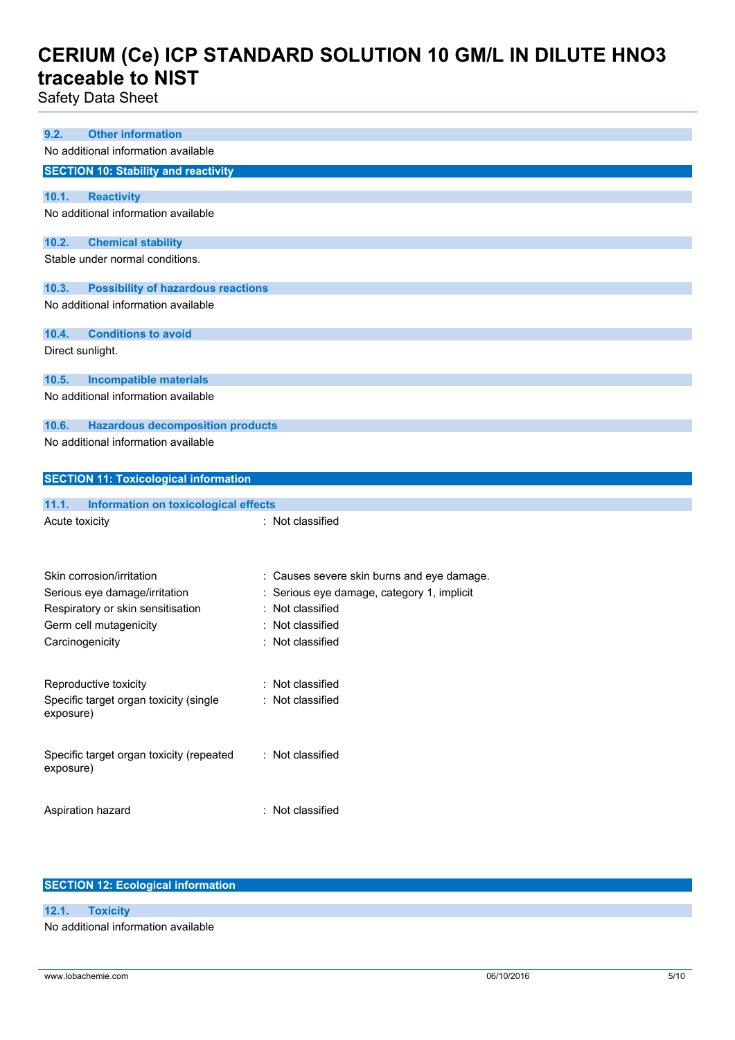Safety Data Sheet

| <b>Other information</b><br>9.2.                      |                                            |
|-------------------------------------------------------|--------------------------------------------|
| No additional information available                   |                                            |
| <b>SECTION 10: Stability and reactivity</b>           |                                            |
| 10.1.<br><b>Reactivity</b>                            |                                            |
| No additional information available                   |                                            |
|                                                       |                                            |
| 10.2.<br><b>Chemical stability</b>                    |                                            |
| Stable under normal conditions.                       |                                            |
|                                                       |                                            |
| <b>Possibility of hazardous reactions</b><br>10.3.    |                                            |
| No additional information available                   |                                            |
| <b>Conditions to avoid</b><br>10.4.                   |                                            |
| Direct sunlight.                                      |                                            |
|                                                       |                                            |
| 10.5.<br><b>Incompatible materials</b>                |                                            |
| No additional information available                   |                                            |
|                                                       |                                            |
| <b>Hazardous decomposition products</b><br>10.6.      |                                            |
| No additional information available                   |                                            |
|                                                       |                                            |
|                                                       |                                            |
| <b>SECTION 11: Toxicological information</b>          |                                            |
|                                                       |                                            |
| 11.1.<br>Information on toxicological effects         |                                            |
| Acute toxicity                                        | : Not classified                           |
|                                                       |                                            |
|                                                       |                                            |
| Skin corrosion/irritation                             | : Causes severe skin burns and eye damage. |
| Serious eye damage/irritation                         | Serious eye damage, category 1, implicit   |
| Respiratory or skin sensitisation                     | Not classified                             |
| Germ cell mutagenicity                                | Not classified                             |
| Carcinogenicity                                       | : Not classified                           |
|                                                       |                                            |
|                                                       | : Not classified                           |
| Reproductive toxicity                                 | : Not classified                           |
| Specific target organ toxicity (single<br>exposure)   |                                            |
|                                                       |                                            |
|                                                       |                                            |
| Specific target organ toxicity (repeated<br>exposure) | : Not classified                           |
|                                                       |                                            |
| Aspiration hazard                                     | : Not classified                           |

#### **SECTION 12: Ecological information**

**12.1. Toxicity** No additional information available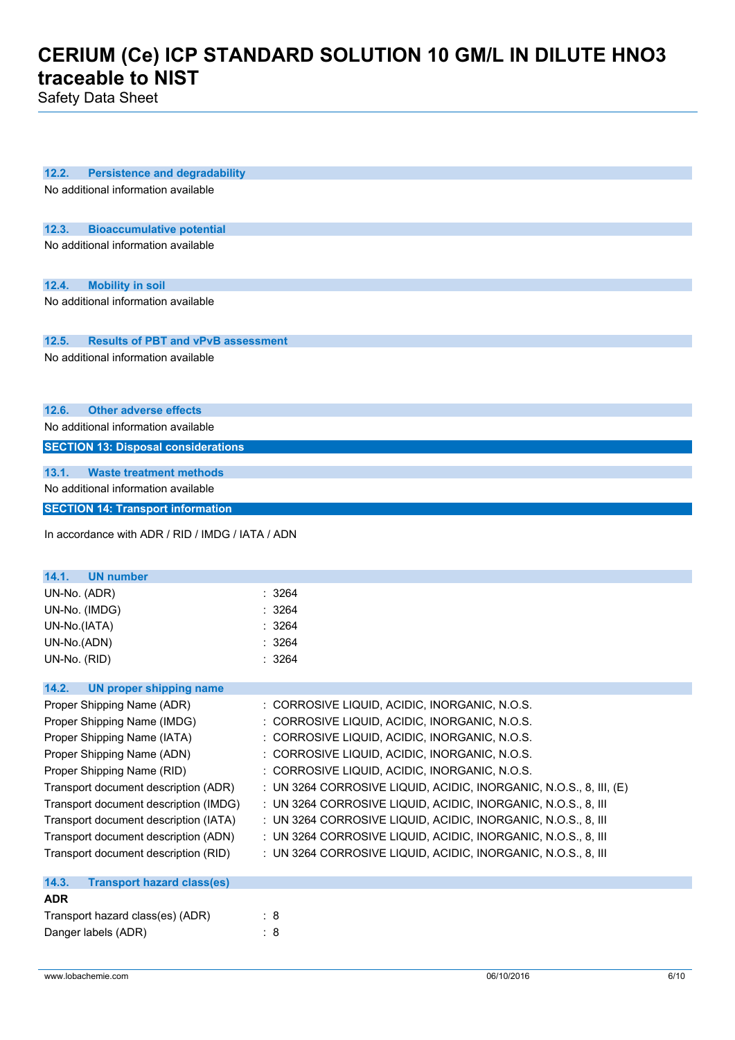Safety Data Sheet

| 12.2.<br><b>Persistence and degradability</b>      |                                                                    |
|----------------------------------------------------|--------------------------------------------------------------------|
| No additional information available                |                                                                    |
|                                                    |                                                                    |
| 12.3.<br><b>Bioaccumulative potential</b>          |                                                                    |
| No additional information available                |                                                                    |
|                                                    |                                                                    |
|                                                    |                                                                    |
| 12.4.<br><b>Mobility in soil</b>                   |                                                                    |
| No additional information available                |                                                                    |
|                                                    |                                                                    |
| 12.5.<br><b>Results of PBT and vPvB assessment</b> |                                                                    |
| No additional information available                |                                                                    |
|                                                    |                                                                    |
|                                                    |                                                                    |
| <b>Other adverse effects</b><br>12.6.              |                                                                    |
| No additional information available                |                                                                    |
| <b>SECTION 13: Disposal considerations</b>         |                                                                    |
| 13.1.<br><b>Waste treatment methods</b>            |                                                                    |
| No additional information available                |                                                                    |
| <b>SECTION 14: Transport information</b>           |                                                                    |
|                                                    |                                                                    |
| In accordance with ADR / RID / IMDG / IATA / ADN   |                                                                    |
|                                                    |                                                                    |
| 14.1.<br><b>UN number</b>                          |                                                                    |
| UN-No. (ADR)                                       | : 3264                                                             |
| UN-No. (IMDG)                                      | 3264                                                               |
| UN-No.(IATA)                                       | 3264                                                               |
| UN-No.(ADN)                                        | 3264                                                               |
| UN-No. (RID)                                       | : 3264                                                             |
|                                                    |                                                                    |
| 14.2.<br><b>UN proper shipping name</b>            |                                                                    |
| Proper Shipping Name (ADR)                         | : CORROSIVE LIQUID, ACIDIC, INORGANIC, N.O.S.                      |
| Proper Shipping Name (IMDG)                        | : CORROSIVE LIQUID, ACIDIC, INORGANIC, N.O.S.                      |
| Proper Shipping Name (IATA)                        | CORROSIVE LIQUID, ACIDIC, INORGANIC, N.O.S.                        |
| Proper Shipping Name (ADN)                         | : CORROSIVE LIQUID, ACIDIC, INORGANIC, N.O.S.                      |
| Proper Shipping Name (RID)                         | : CORROSIVE LIQUID, ACIDIC, INORGANIC, N.O.S.                      |
| Transport document description (ADR)               | : UN 3264 CORROSIVE LIQUID, ACIDIC, INORGANIC, N.O.S., 8, III, (E) |
| Transport document description (IMDG)              | : UN 3264 CORROSIVE LIQUID, ACIDIC, INORGANIC, N.O.S., 8, III      |
| Transport document description (IATA)              | : UN 3264 CORROSIVE LIQUID, ACIDIC, INORGANIC, N.O.S., 8, III      |
| Transport document description (ADN)               | : UN 3264 CORROSIVE LIQUID, ACIDIC, INORGANIC, N.O.S., 8, III      |
| Transport document description (RID)               | : UN 3264 CORROSIVE LIQUID, ACIDIC, INORGANIC, N.O.S., 8, III      |
| 14.3.<br><b>Transport hazard class(es)</b>         |                                                                    |
| <b>ADR</b>                                         |                                                                    |
| Transport hazard class(es) (ADR)                   | : 8                                                                |
| Danger labels (ADR)                                | : 8                                                                |
|                                                    |                                                                    |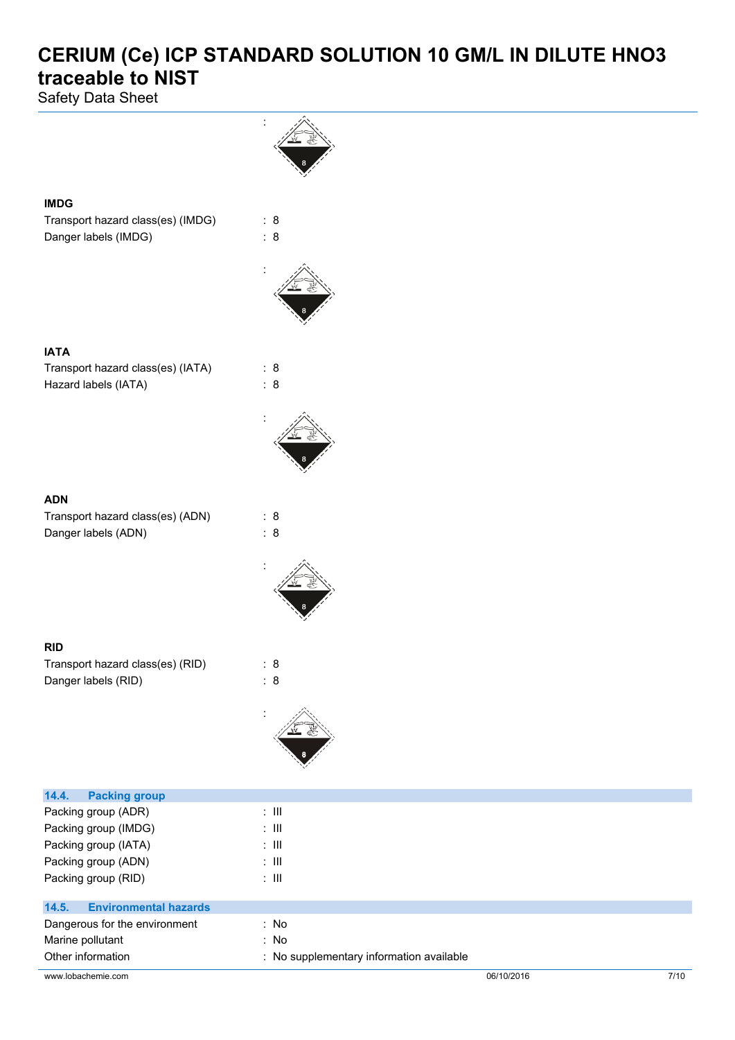Safety Data Sheet



| Danger labels (IMDG) |  |  |  |  |
|----------------------|--|--|--|--|
|                      |  |  |  |  |

**IMDG**

**IATA**

Hazard labels (IATA) : 8

**ADN**

| -------                          |     |
|----------------------------------|-----|
| Transport hazard class(es) (ADN) | : 8 |
| Danger labels (ADN)              | : 8 |

**RID**

| Transport hazard class(es) (RID) | : 8 |
|----------------------------------|-----|
| Danger labels (RID)              | : 8 |

**14.4. Packing group**



www.lobachemie.com 06/10/2016 7/10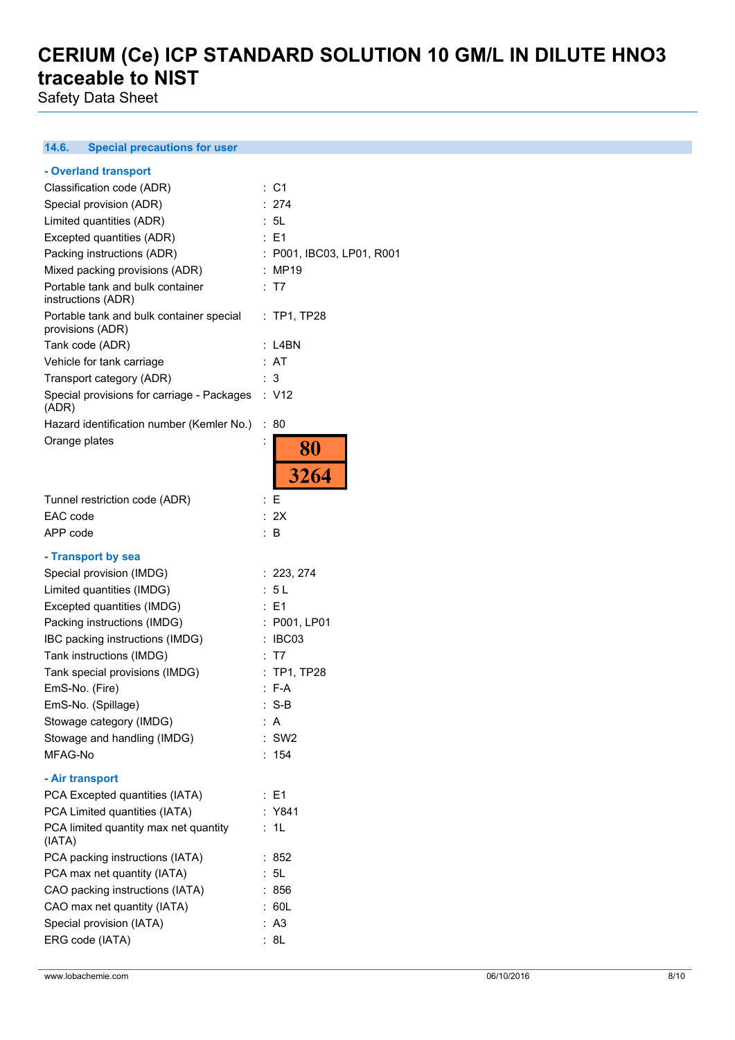Safety Data Sheet

#### $14.6.$ **14.6. Special precautions for user**

| - Overland transport                       |                           |
|--------------------------------------------|---------------------------|
| Classification code (ADR)                  | : C1                      |
| Special provision (ADR)                    | : 274                     |
| Limited quantities (ADR)                   | : 5L                      |
| Excepted quantities (ADR)                  | $E = 1$                   |
| Packing instructions (ADR)                 | : P001, IBC03, LP01, R001 |
| Mixed packing provisions (ADR)             | : MP19                    |
| Portable tank and bulk container           | : T7                      |
| instructions (ADR)                         |                           |
| Portable tank and bulk container special   | $:$ TP1, TP28             |
| provisions (ADR)                           |                           |
| Tank code (ADR)                            | : L4BN                    |
| Vehicle for tank carriage                  | : AT                      |
| Transport category (ADR)                   | : 3                       |
| Special provisions for carriage - Packages | : V12                     |
| (ADR)                                      |                           |
| Hazard identification number (Kemler No.)  | 80<br>÷.                  |
| Orange plates                              | İ                         |
|                                            | 80                        |
|                                            | 3264                      |
|                                            |                           |
| Tunnel restriction code (ADR)              | : F                       |
| EAC code                                   | : 2X                      |
| APP code                                   | : B                       |
| - Transport by sea                         |                           |
| Special provision (IMDG)                   | : 223, 274                |
| Limited quantities (IMDG)                  | : 5 L                     |
| Excepted quantities (IMDG)                 | : E1                      |
| Packing instructions (IMDG)                | : P001, LP01              |
| IBC packing instructions (IMDG)            | : IBC03                   |
| Tank instructions (IMDG)                   | : T7                      |
| Tank special provisions (IMDG)             | : TP1, TP28               |
| EmS-No. (Fire)                             | $: F-A$                   |
| EmS-No. (Spillage)                         | $: S-B$                   |
| Stowage category (IMDG)                    |                           |
|                                            | : A<br>$:$ SW2            |
| Stowage and handling (IMDG)<br>MFAG-No     |                           |
|                                            | : 154                     |
| - Air transport                            |                           |
| PCA Excepted quantities (IATA)             | : E1                      |
| PCA Limited quantities (IATA)              | : Y841                    |
| PCA limited quantity max net quantity      | 1L<br>÷                   |
| (IATA)                                     |                           |
| PCA packing instructions (IATA)            | :852                      |
| PCA max net quantity (IATA)                | : 5L                      |
| CAO packing instructions (IATA)            | : 856                     |
| CAO max net quantity (IATA)                | : 60L                     |
| Special provision (IATA)                   | : A3                      |
| ERG code (IATA)                            | : 8L                      |
|                                            |                           |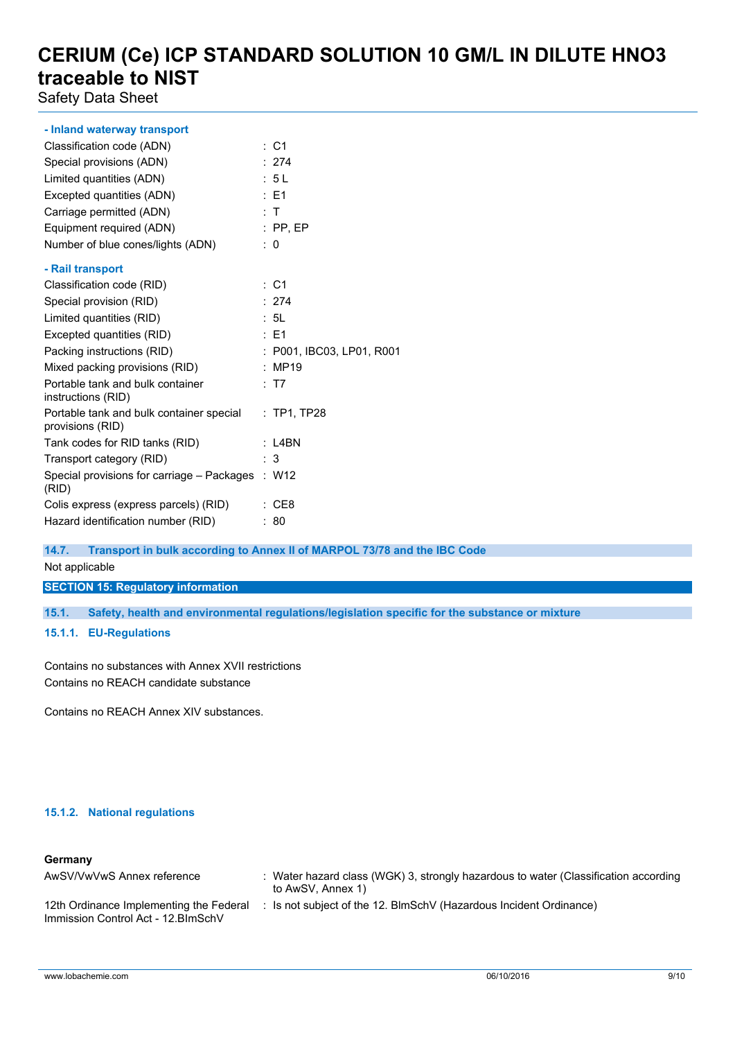Safety Data Sheet

| - Inland waterway transport                                  |                           |
|--------------------------------------------------------------|---------------------------|
| Classification code (ADN)                                    | $\therefore$ C1           |
| Special provisions (ADN)                                     | : 274                     |
| Limited quantities (ADN)                                     | : 5L                      |
| Excepted quantities (ADN)                                    | $\therefore$ E1           |
| Carriage permitted (ADN)                                     | $\pm$ T                   |
| Equipment required (ADN)                                     | $:$ PP, EP                |
| Number of blue cones/lights (ADN)                            | $\therefore$ 0            |
| - Rail transport                                             |                           |
| Classification code (RID)                                    | $\therefore$ C1           |
| Special provision (RID)                                      | : 274                     |
|                                                              | : 5L                      |
| Limited quantities (RID)                                     |                           |
| Excepted quantities (RID)                                    | $\therefore$ E1           |
| Packing instructions (RID)                                   | : P001, IBC03, LP01, R001 |
| Mixed packing provisions (RID)                               | : MP19                    |
| Portable tank and bulk container<br>instructions (RID)       | : T7                      |
| Portable tank and bulk container special<br>provisions (RID) | $:$ TP1, TP28             |
| Tank codes for RID tanks (RID)                               | $:$ L4BN                  |
| Transport category (RID)                                     | :3                        |
| Special provisions for carriage - Packages : W12<br>(RID)    |                           |
| Colis express (express parcels) (RID)                        | : CE8                     |
| Hazard identification number (RID)                           | : 80                      |

**14.7. Transport in bulk according to Annex II of MARPOL 73/78 and the IBC Code**

Not applicable

**SECTION 15: Regulatory information**

**15.1. Safety, health and environmental regulations/legislation specific for the substance or mixture**

#### **15.1.1. EU-Regulations**

Contains no substances with Annex XVII restrictions Contains no REACH candidate substance

Contains no REACH Annex XIV substances.

#### **15.1.2. National regulations**

#### **Germany**

| AwSV/VwVwS Annex reference                                                     | Water hazard class (WGK) 3, strongly hazardous to water (Classification according<br>to AwSV, Annex 1) |
|--------------------------------------------------------------------------------|--------------------------------------------------------------------------------------------------------|
| 12th Ordinance Implementing the Federal<br>Immission Control Act - 12. BlmSchV | Is not subject of the 12. BlmSchV (Hazardous Incident Ordinance)                                       |